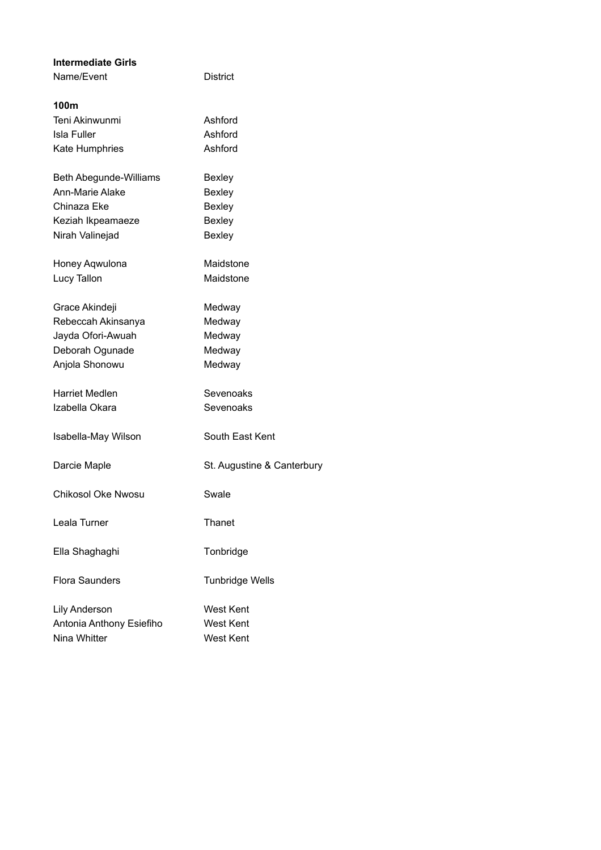| <b>Intermediate Girls</b> |                            |
|---------------------------|----------------------------|
| Name/Event                | District                   |
|                           |                            |
| 100m                      |                            |
| Teni Akinwunmi            | Ashford                    |
| <b>Isla Fuller</b>        | Ashford                    |
| <b>Kate Humphries</b>     | Ashford                    |
| Beth Abegunde-Williams    | <b>Bexley</b>              |
| Ann-Marie Alake           | <b>Bexley</b>              |
| Chinaza Eke               | <b>Bexley</b>              |
|                           | <b>Bexley</b>              |
| Keziah Ikpeamaeze         |                            |
| Nirah Valinejad           | <b>Bexley</b>              |
| Honey Aqwulona            | Maidstone                  |
| Lucy Tallon               | Maidstone                  |
|                           |                            |
| Grace Akindeji            | Medway                     |
| Rebeccah Akinsanya        | Medway                     |
| Jayda Ofori-Awuah         | Medway                     |
| Deborah Ogunade           | Medway                     |
| Anjola Shonowu            | Medway                     |
|                           |                            |
| Harriet Medlen            | Sevenoaks                  |
| Izabella Okara            | Sevenoaks                  |
|                           |                            |
| Isabella-May Wilson       | South East Kent            |
|                           |                            |
| Darcie Maple              | St. Augustine & Canterbury |
| <b>Chikosol Oke Nwosu</b> | Swale                      |
|                           |                            |
| Leala Turner              | Thanet                     |
|                           |                            |
| Ella Shaghaghi            | Tonbridge                  |
|                           |                            |
| <b>Flora Saunders</b>     | <b>Tunbridge Wells</b>     |
|                           |                            |
| <b>Lily Anderson</b>      | West Kent                  |
| Antonia Anthony Esiefiho  | <b>West Kent</b>           |
| Nina Whitter              | West Kent                  |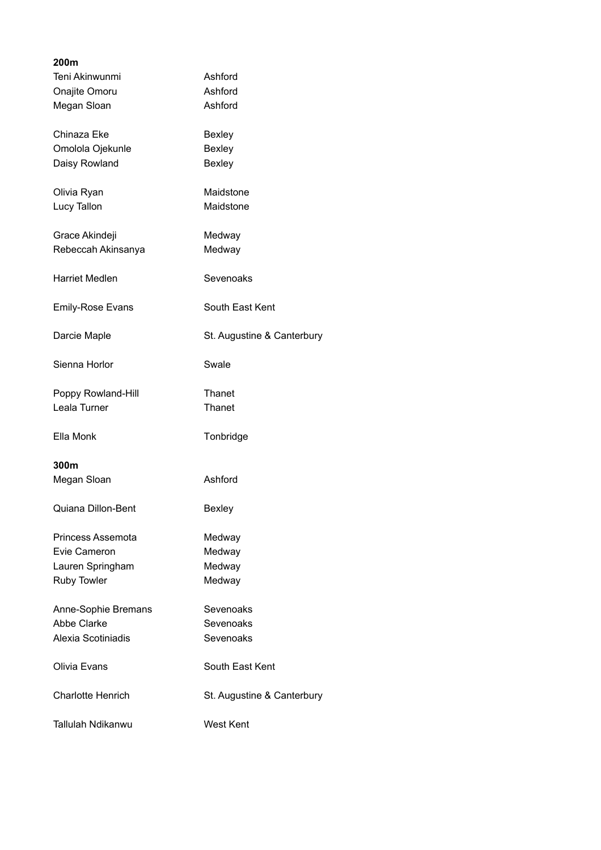| 200m                     |                            |
|--------------------------|----------------------------|
| Teni Akinwunmi           | Ashford                    |
| Onajite Omoru            | Ashford                    |
| Megan Sloan              | Ashford                    |
|                          |                            |
| Chinaza Eke              | <b>Bexley</b>              |
| Omolola Ojekunle         | <b>Bexley</b>              |
| Daisy Rowland            | <b>Bexley</b>              |
|                          |                            |
| Olivia Ryan              | Maidstone                  |
|                          |                            |
| Lucy Tallon              | Maidstone                  |
|                          |                            |
| Grace Akindeji           | Medway                     |
| Rebeccah Akinsanya       | Medway                     |
|                          |                            |
| <b>Harriet Medlen</b>    | Sevenoaks                  |
|                          |                            |
| <b>Emily-Rose Evans</b>  | South East Kent            |
|                          |                            |
| Darcie Maple             | St. Augustine & Canterbury |
|                          |                            |
| Sienna Horlor            | Swale                      |
|                          |                            |
| Poppy Rowland-Hill       | Thanet                     |
| Leala Turner             | Thanet                     |
|                          |                            |
| Ella Monk                | Tonbridge                  |
|                          |                            |
| 300m                     |                            |
|                          | Ashford                    |
| Megan Sloan              |                            |
|                          |                            |
| Quiana Dillon-Bent       | Bexley                     |
|                          |                            |
| Princess Assemota        | Medway                     |
| Evie Cameron             | Medway                     |
| Lauren Springham         | Medway                     |
| Ruby Towler              | Medway                     |
|                          |                            |
| Anne-Sophie Bremans      | Sevenoaks                  |
| <b>Abbe Clarke</b>       | Sevenoaks                  |
| Alexia Scotiniadis       | Sevenoaks                  |
|                          |                            |
| Olivia Evans             | South East Kent            |
|                          |                            |
|                          |                            |
| <b>Charlotte Henrich</b> | St. Augustine & Canterbury |
|                          |                            |
| Tallulah Ndikanwu        | West Kent                  |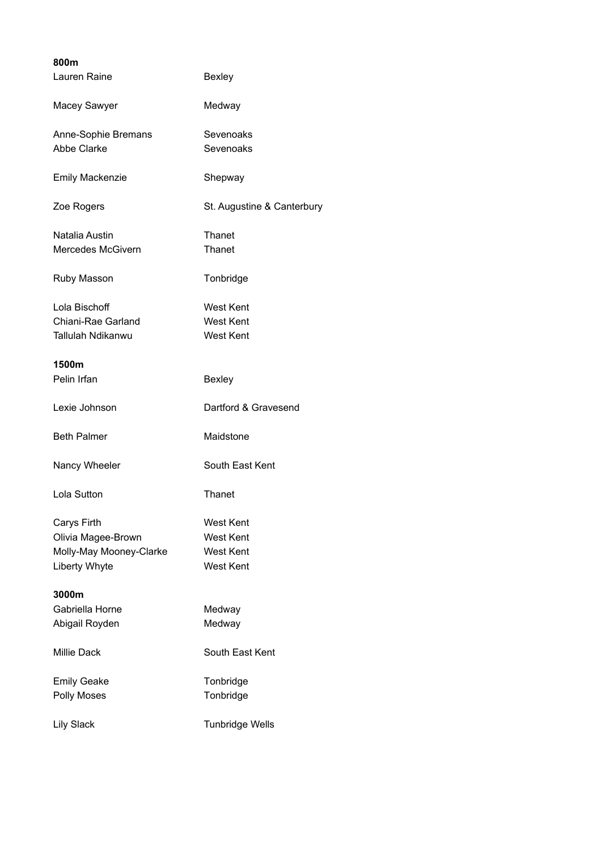| 800m                     |                            |
|--------------------------|----------------------------|
| Lauren Raine             | <b>Bexley</b>              |
| Macey Sawyer             | Medway                     |
| Anne-Sophie Bremans      | Sevenoaks                  |
| Abbe Clarke              | Sevenoaks                  |
| <b>Emily Mackenzie</b>   | Shepway                    |
| Zoe Rogers               | St. Augustine & Canterbury |
| Natalia Austin           | Thanet                     |
| Mercedes McGivern        | Thanet                     |
| Ruby Masson              | Tonbridge                  |
| Lola Bischoff            | <b>West Kent</b>           |
| Chiani-Rae Garland       | <b>West Kent</b>           |
| Tallulah Ndikanwu        | <b>West Kent</b>           |
|                          |                            |
| 1500m                    |                            |
| Pelin Irfan              | <b>Bexley</b>              |
| Lexie Johnson            | Dartford & Gravesend       |
| <b>Beth Palmer</b>       | Maidstone                  |
| Nancy Wheeler            | South East Kent            |
| Lola Sutton              | Thanet                     |
| Carys Firth              | West Kent                  |
| Olivia Magee-Brown       | <b>West Kent</b>           |
| Molly-May Mooney-Clarke  | <b>West Kent</b>           |
| <b>Liberty Whyte</b>     | West Kent                  |
|                          |                            |
| 3000m<br>Gabriella Horne | Medway                     |
| Abigail Royden           | Medway                     |
|                          |                            |
| <b>Millie Dack</b>       | South East Kent            |
| <b>Emily Geake</b>       | Tonbridge                  |
| <b>Polly Moses</b>       | Tonbridge                  |
| Lily Slack               | <b>Tunbridge Wells</b>     |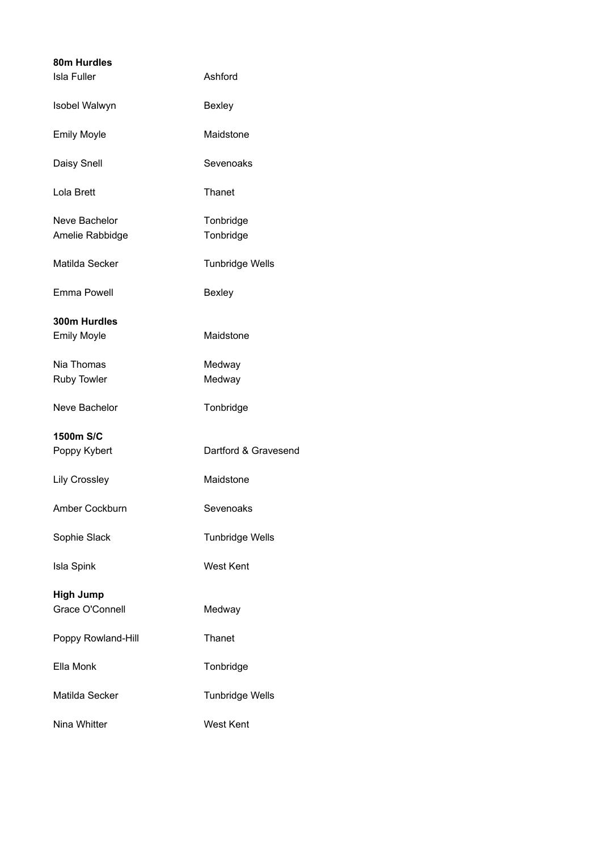| 80m Hurdles                        |                        |
|------------------------------------|------------------------|
| <b>Isla Fuller</b>                 | Ashford                |
| Isobel Walwyn                      | <b>Bexley</b>          |
| <b>Emily Moyle</b>                 | Maidstone              |
| Daisy Snell                        | Sevenoaks              |
| Lola Brett                         | Thanet                 |
| Neve Bachelor<br>Amelie Rabbidge   | Tonbridge<br>Tonbridge |
| Matilda Secker                     | <b>Tunbridge Wells</b> |
| Emma Powell                        | <b>Bexley</b>          |
| 300m Hurdles<br><b>Emily Moyle</b> | Maidstone              |
| Nia Thomas<br><b>Ruby Towler</b>   | Medway<br>Medway       |
| Neve Bachelor                      | Tonbridge              |
| 1500m S/C                          |                        |
| Poppy Kybert                       | Dartford & Gravesend   |
| <b>Lily Crossley</b>               | Maidstone              |
| Amber Cockburn                     | Sevenoaks              |
| Sophie Slack                       | <b>Tunbridge Wells</b> |
| <b>Isla Spink</b>                  | <b>West Kent</b>       |
| <b>High Jump</b>                   |                        |
| Grace O'Connell                    | Medway                 |
| Poppy Rowland-Hill                 | Thanet                 |
| Ella Monk                          | Tonbridge              |
| Matilda Secker                     | <b>Tunbridge Wells</b> |
| Nina Whitter                       | <b>West Kent</b>       |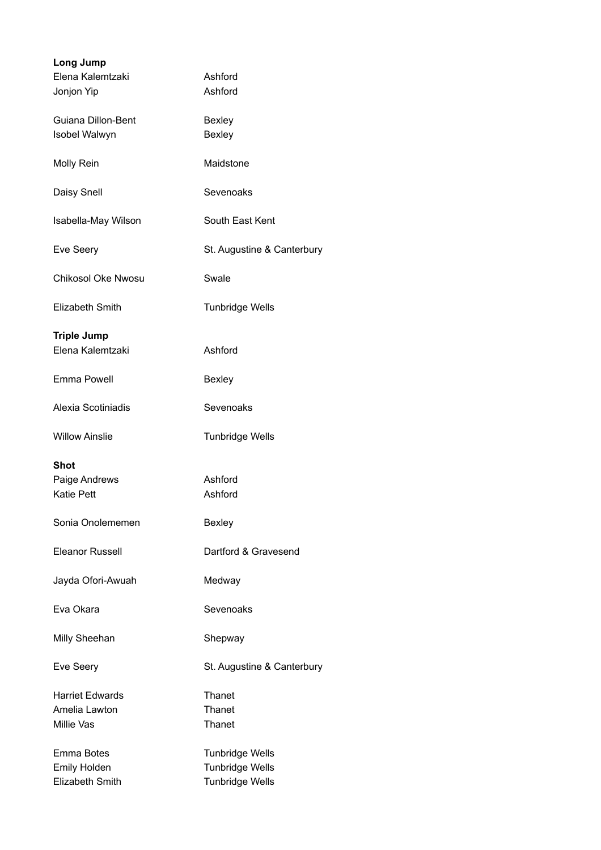| Long Jump<br>Elena Kalemtzaki<br>Jonjon Yip           | Ashford<br>Ashford                                                         |
|-------------------------------------------------------|----------------------------------------------------------------------------|
| Guiana Dillon-Bent<br>Isobel Walwyn                   | <b>Bexley</b><br><b>Bexley</b>                                             |
| Molly Rein                                            | Maidstone                                                                  |
| Daisy Snell                                           | Sevenoaks                                                                  |
| Isabella-May Wilson                                   | South East Kent                                                            |
| Eve Seery                                             | St. Augustine & Canterbury                                                 |
| <b>Chikosol Oke Nwosu</b>                             | Swale                                                                      |
| Elizabeth Smith                                       | <b>Tunbridge Wells</b>                                                     |
| <b>Triple Jump</b><br>Elena Kalemtzaki                | Ashford                                                                    |
| Emma Powell                                           | <b>Bexley</b>                                                              |
| Alexia Scotiniadis                                    | Sevenoaks                                                                  |
| <b>Willow Ainslie</b>                                 | <b>Tunbridge Wells</b>                                                     |
| <b>Shot</b><br>Paige Andrews<br><b>Katie Pett</b>     | Ashford<br>Ashford                                                         |
| Sonia Onolememen                                      | Bexley                                                                     |
| <b>Eleanor Russell</b>                                | Dartford & Gravesend                                                       |
| Jayda Ofori-Awuah                                     | Medway                                                                     |
| Eva Okara                                             | Sevenoaks                                                                  |
| Milly Sheehan                                         | Shepway                                                                    |
| Eve Seery                                             | St. Augustine & Canterbury                                                 |
| <b>Harriet Edwards</b><br>Amelia Lawton<br>Millie Vas | Thanet<br>Thanet<br>Thanet                                                 |
| Emma Botes<br><b>Emily Holden</b><br>Elizabeth Smith  | <b>Tunbridge Wells</b><br><b>Tunbridge Wells</b><br><b>Tunbridge Wells</b> |